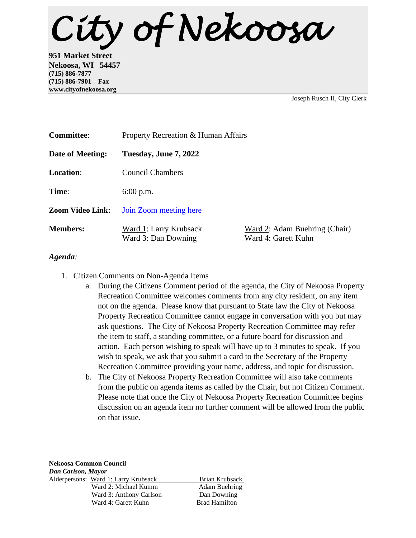*City of Nekoosa* 

**951 Market Street Nekoosa, WI 54457 (715) 886-7877 (715) 886-7901 – Fax www.cityofnekoosa.org**

Joseph Rusch II, City Clerk

| <b>Committee:</b>       | Property Recreation & Human Affairs           |                                                      |
|-------------------------|-----------------------------------------------|------------------------------------------------------|
| Date of Meeting:        | Tuesday, June 7, 2022                         |                                                      |
| Location:               | Council Chambers                              |                                                      |
| Time:                   | $6:00$ p.m.                                   |                                                      |
| <b>Zoom Video Link:</b> | Join Zoom meeting here                        |                                                      |
| <b>Members:</b>         | Ward 1: Larry Krubsack<br>Ward 3: Dan Downing | Ward 2: Adam Buehring (Chair)<br>Ward 4: Garett Kuhn |

## *Agenda:*

- 1. Citizen Comments on Non-Agenda Items
	- a. During the Citizens Comment period of the agenda, the City of Nekoosa Property Recreation Committee welcomes comments from any city resident, on any item not on the agenda. Please know that pursuant to State law the City of Nekoosa Property Recreation Committee cannot engage in conversation with you but may ask questions. The City of Nekoosa Property Recreation Committee may refer the item to staff, a standing committee, or a future board for discussion and action. Each person wishing to speak will have up to 3 minutes to speak. If you wish to speak, we ask that you submit a card to the Secretary of the Property Recreation Committee providing your name, address, and topic for discussion.
	- b. The City of Nekoosa Property Recreation Committee will also take comments from the public on agenda items as called by the Chair, but not Citizen Comment. Please note that once the City of Nekoosa Property Recreation Committee begins discussion on an agenda item no further comment will be allowed from the public on that issue.

| <b>Nekoosa Common Council</b> |                                      |                      |  |
|-------------------------------|--------------------------------------|----------------------|--|
| Dan Carlson, Mayor            |                                      |                      |  |
|                               | Alderpersons: Ward 1: Larry Krubsack | Brian Krubsack       |  |
|                               | Ward 2: Michael Kumm                 | Adam Buehring        |  |
|                               | Ward 3: Anthony Carlson              | Dan Downing          |  |
|                               | Ward 4: Garett Kuhn                  | <b>Brad Hamilton</b> |  |